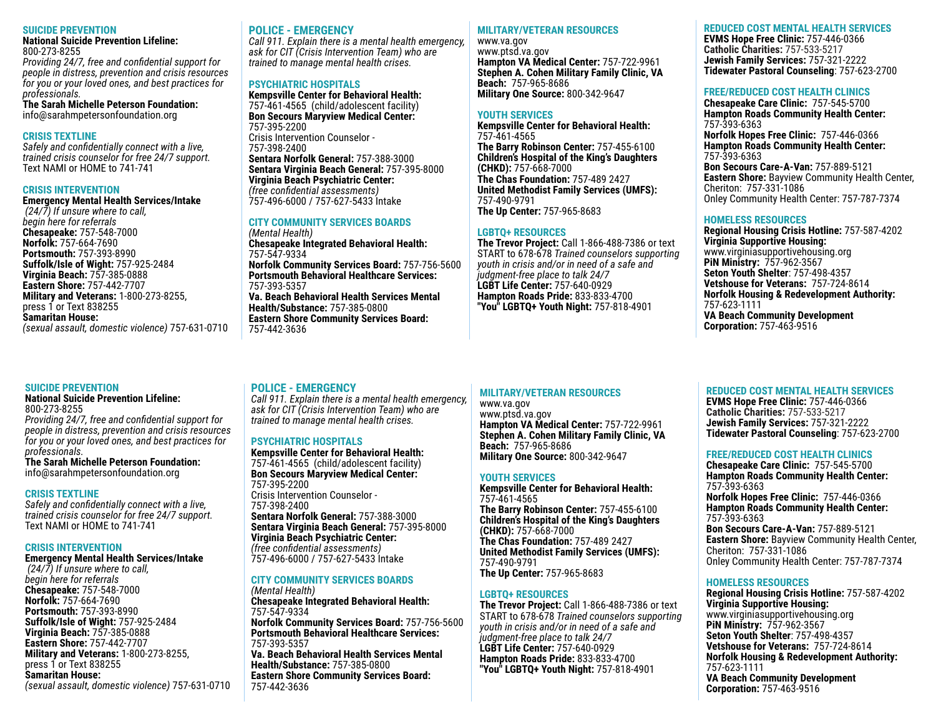#### **SUICIDE PREVENTION**

**National Suicide Prevention Lifeline:**  800-273-8255

*Providing 24/7, free and confidential support for people in distress, prevention and crisis resources for you or your loved ones, and best practices for professionals.*

**The Sarah Michelle Peterson Foundation:** info@sarahmpetersonfoundation.org

#### **CRISIS TEXTLINE**

*Safely and confidentially connect with a live, trained crisis counselor for free 24/7 support.* Text NAMI or HOME to 741-741

#### **CRISIS INTERVENTION**

**Emergency Mental Health Services/Intake** *(24/7) If unsure where to call, begin here for referrals* **Chesapeake:** 757-548-7000 **Norfolk:** 757-664-7690 **Portsmouth:** 757-393-8990 **Suffolk/Isle of Wight:** 757-925-2484 **Virginia Beach:** 757-385-0888 **Eastern Shore:** 757-442-7707 **Military and Veterans:** 1-800-273-8255, press 1 or Text 838255 **Samaritan House:** *(sexual assault, domestic violence)* 757-631-0710

### **SUICIDE PREVENTION**

#### **National Suicide Prevention Lifeline:**  800-273-8255

*Providing 24/7, free and confidential support for people in distress, prevention and crisis resources for you or your loved ones, and best practices for professionals.*

**The Sarah Michelle Peterson Foundation:** info@sarahmpetersonfoundation.org

### **CRISIS TEXTLINE**

*Safely and confidentially connect with a live, trained crisis counselor for free 24/7 support.* Text NAMI or HOME to 741-741

### **CRISIS INTERVENTION**

# **Emergency Mental Health Services/Intake**

*(24/7) If unsure where to call, begin here for referrals* **Chesapeake:** 757-548-7000 **Norfolk:** 757-664-7690 **Portsmouth:** 757-393-8990 **Suffolk/Isle of Wight:** 757-925-2484 **Virginia Beach:** 757-385-0888 **Eastern Shore:** 757-442-7707 **Military and Veterans:** 1-800-273-8255, press 1 or Text 838255 **Samaritan House:** *(sexual assault, domestic violence)* 757-631-0710

# **POLICE - EMERGENCY**

*Call 911. Explain there is a mental health emergency, ask for CIT (Crisis Intervention Team) who are trained to manage mental health crises.*

## **PSYCHIATRIC HOSPITALS**

**Kempsville Center for Behavioral Health:**  757-461-4565 (child/adolescent facility) **Bon Secours Maryview Medical Center:**  757-395-2200 Crisis Intervention Counselor - 757-398-2400 **Sentara Norfolk General:** 757-388-3000 **Sentara Virginia Beach General:** 757-395-8000 **Virginia Beach Psychiatric Center:** *(free confidential assessments)*

# 757-496-6000 / 757-627-5433 Intake

**POLICE - EMERGENCY**

**PSYCHIATRIC HOSPITALS**

Crisis Intervention Counselor -

757-395-2200

757-398-2400

*(Mental Health)*

757-547-9334

757-393-5357

757-442-3636

#### **CITY COMMUNITY SERVICES BOARDS**  *(Mental Health)* **Chesapeake Integrated Behavioral Health:** 757-547-9334 **Norfolk Community Services Board:** 757-756-5600 **Portsmouth Behavioral Healthcare Services:** 757-393-5357 **Va. Beach Behavioral Health Services Mental Health/Substance:** 757-385-0800 **Eastern Shore Community Services Board:**  757-442-3636

*Call 911. Explain there is a mental health emergency, ask for CIT (Crisis Intervention Team) who are trained to manage mental health crises.*

**Kempsville Center for Behavioral Health:**  757-461-4565 (child/adolescent facility) **Bon Secours Maryview Medical Center:** 

**Sentara Norfolk General:** 757-388-3000 **Sentara Virginia Beach General:** 757-395-8000

**Chesapeake Integrated Behavioral Health:**

**Norfolk Community Services Board:** 757-756-5600 **Portsmouth Behavioral Healthcare Services:**

**Va. Beach Behavioral Health Services Mental** 

**Eastern Shore Community Services Board:** 

**Health/Substance:** 757-385-0800

**Virginia Beach Psychiatric Center:** *(free confidential assessments)* 757-496-6000 / 757-627-5433 Intake **CITY COMMUNITY SERVICES BOARDS** 

# **MILITARY/VETERAN RESOURCES**

www.va.gov www.ptsd.va.gov **Hampton VA Medical Center:** 757-722-9961 **Stephen A. Cohen Military Family Clinic, VA Beach:** 757-965-8686 **Military One Source:** 800-342-9647

## **YOUTH SERVICES**

**Kempsville Center for Behavioral Health:**  757-461-4565 **The Barry Robinson Center:** 757-455-6100 **Children's Hospital of the King's Daughters (CHKD):** 757-668-7000 **The Chas Foundation:** 757-489 2427 **United Methodist Family Services (UMFS):**  757-490-9791 **The Up Center:** 757-965-8683

## **LGBTQ+ RESOURCES**

**The Trevor Project:** Call 1-866-488-7386 or text START to 678-678 *Trained counselors supporting youth in crisis and/or in need of a safe and judgment-free place to talk 24/7* **LGBT Life Center:** 757-640-0929 **Hampton Roads Pride:** 833-833-4700 **"You" LGBTQ+ Youth Night:** 757-818-4901

# **MILITARY/VETERAN RESOURCES**

www.va.gov www.ptsd.va.gov **Hampton VA Medical Center:** 757-722-9961 **Stephen A. Cohen Military Family Clinic, VA Beach:** 757-965-8686 **Military One Source:** 800-342-9647

# **YOUTH SERVICES**

**Kempsville Center for Behavioral Health:**  757-461-4565 **The Barry Robinson Center:** 757-455-6100 **Children's Hospital of the King's Daughters (CHKD):** 757-668-7000 **The Chas Foundation:** 757-489 2427 **United Methodist Family Services (UMFS):**  757-490-9791 **The Up Center:** 757-965-8683

### **LGBTQ+ RESOURCES**

**The Trevor Project:** Call 1-866-488-7386 or text START to 678-678 *Trained counselors supporting youth in crisis and/or in need of a safe and judgment-free place to talk 24/7* **LGBT Life Center:** 757-640-0929 **Hampton Roads Pride:** 833-833-4700 **"You" LGBTQ+ Youth Night:** 757-818-4901

# **REDUCED COST MENTAL HEALTH SERVICES**

**EVMS Hope Free Clinic:** 757-446-0366 **Catholic Charities:** 757-533-5217 **Jewish Family Services:** 757-321-2222 **Tidewater Pastoral Counseling**: 757-623-2700

# **FREE/REDUCED COST HEALTH CLINICS**

**Chesapeake Care Clinic:** 757-545-5700 **Hampton Roads Community Health Center:**  757-393-6363 **Norfolk Hopes Free Clinic:** 757-446-0366 **Hampton Roads Community Health Center:**  757-393-6363 **Bon Secours Care-A-Van:** 757-889-5121 **Eastern Shore:** Bayview Community Health Center, Cheriton: 757-331-1086 Onley Community Health Center: 757-787-7374

# **HOMELESS RESOURCES**

**Regional Housing Crisis Hotline:** 757-587-4202 **Virginia Supportive Housing:**  www.virginiasupportivehousing.org **PiN Ministry:** 757-962-3567 **Seton Youth Shelter**: 757-498-4357 **Vetshouse for Veterans:** 757-724-8614 **Norfolk Housing & Redevelopment Authority:**  757-623-1111 **VA Beach Community Development Corporation:** 757-463-9516

# **REDUCED COST MENTAL HEALTH SERVICES**

**EVMS Hope Free Clinic:** 757-446-0366 **Catholic Charities:** 757-533-5217 **Jewish Family Services:** 757-321-2222 **Tidewater Pastoral Counseling**: 757-623-2700

# **FREE/REDUCED COST HEALTH CLINICS**

**Chesapeake Care Clinic:** 757-545-5700 **Hampton Roads Community Health Center:**  757-393-6363 **Norfolk Hopes Free Clinic:** 757-446-0366 **Hampton Roads Community Health Center:**  757-393-6363 **Bon Secours Care-A-Van:** 757-889-5121 **Eastern Shore:** Bayview Community Health Center, Cheriton: 757-331-1086 Onley Community Health Center: 757-787-7374

# **HOMELESS RESOURCES**

**Regional Housing Crisis Hotline:** 757-587-4202 **Virginia Supportive Housing:**  www.virginiasupportivehousing.org **PiN Ministry:** 757-962-3567 **Seton Youth Shelter**: 757-498-4357 **Vetshouse for Veterans:** 757-724-8614 **Norfolk Housing & Redevelopment Authority:**  757-623-1111 **VA Beach Community Development Corporation:** 757-463-9516